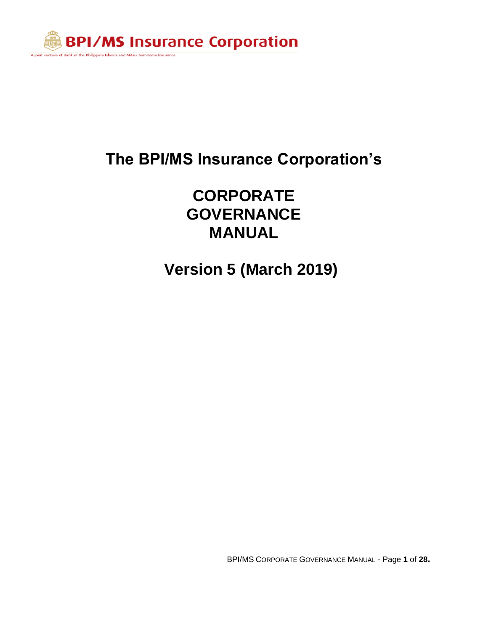

## **CORPORATE GOVERNANCE MANUAL**

**Version 5 (March 2019)**

BPI/MS CORPORATE GOVERNANCE MANUAL - Page **1** of **28.**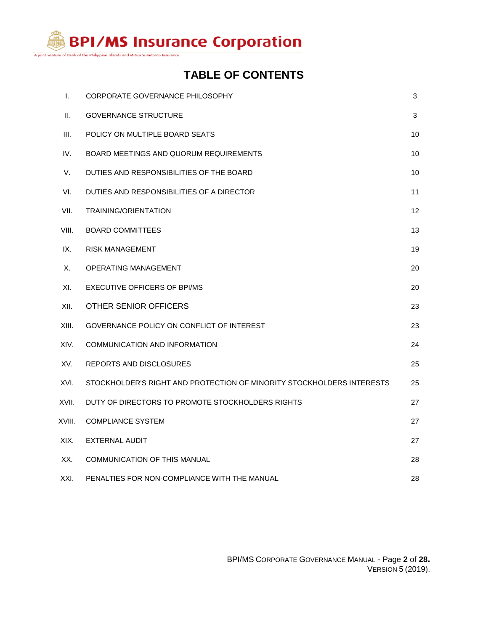A joint venture of Bank of the Philippine Islands and Mitsui Sumitomo Insurance

## **TABLE OF CONTENTS**

| Τ.     | CORPORATE GOVERNANCE PHILOSOPHY                                       | 3                 |
|--------|-----------------------------------------------------------------------|-------------------|
| Ш.     | <b>GOVERNANCE STRUCTURE</b>                                           | 3                 |
| III.   | POLICY ON MULTIPLE BOARD SEATS                                        | 10                |
| IV.    | BOARD MEETINGS AND QUORUM REQUIREMENTS                                | 10                |
| V.     | DUTIES AND RESPONSIBILITIES OF THE BOARD                              | 10                |
| VI.    | DUTIES AND RESPONSIBILITIES OF A DIRECTOR                             | 11                |
| VII.   | <b>TRAINING/ORIENTATION</b>                                           | $12 \overline{ }$ |
| VIII.  | <b>BOARD COMMITTEES</b>                                               | 13                |
| IX.    | <b>RISK MANAGEMENT</b>                                                | 19                |
| Х.     | OPERATING MANAGEMENT                                                  | 20                |
| XI.    | EXECUTIVE OFFICERS OF BPI/MS                                          | 20                |
| XII.   | OTHER SENIOR OFFICERS                                                 | 23                |
| XIII.  | GOVERNANCE POLICY ON CONFLICT OF INTEREST                             | 23                |
| XIV.   | COMMUNICATION AND INFORMATION                                         | 24                |
| XV.    | <b>REPORTS AND DISCLOSURES</b>                                        | 25                |
| XVI.   | STOCKHOLDER'S RIGHT AND PROTECTION OF MINORITY STOCKHOLDERS INTERESTS | 25                |
| XVII.  | DUTY OF DIRECTORS TO PROMOTE STOCKHOLDERS RIGHTS                      | 27                |
| XVIII. | <b>COMPLIANCE SYSTEM</b>                                              | 27                |
| XIX.   | EXTERNAL AUDIT                                                        | 27                |
| XX.    | <b>COMMUNICATION OF THIS MANUAL</b>                                   | 28                |
| XXI.   | PENALTIES FOR NON-COMPLIANCE WITH THE MANUAL                          | 28                |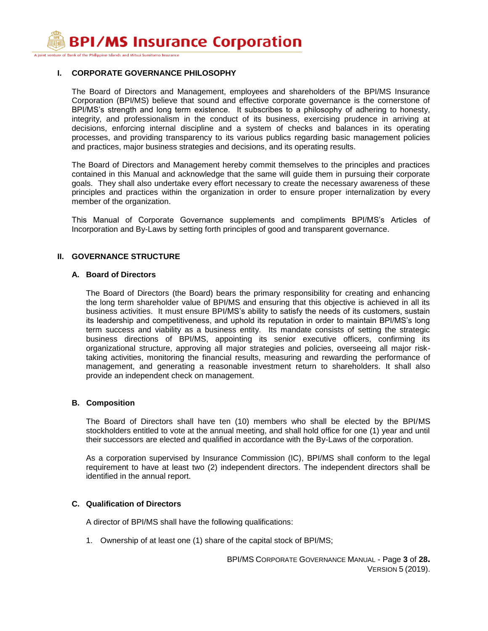A joint venture of Bank of the Philippine Islands and Mitsui Sumitomo Insurance

## **I. CORPORATE GOVERNANCE PHILOSOPHY**

The Board of Directors and Management, employees and shareholders of the BPI/MS Insurance Corporation (BPI/MS) believe that sound and effective corporate governance is the cornerstone of BPI/MS's strength and long term existence. It subscribes to a philosophy of adhering to honesty, integrity, and professionalism in the conduct of its business, exercising prudence in arriving at decisions, enforcing internal discipline and a system of checks and balances in its operating processes, and providing transparency to its various publics regarding basic management policies and practices, major business strategies and decisions, and its operating results.

The Board of Directors and Management hereby commit themselves to the principles and practices contained in this Manual and acknowledge that the same will guide them in pursuing their corporate goals. They shall also undertake every effort necessary to create the necessary awareness of these principles and practices within the organization in order to ensure proper internalization by every member of the organization.

This Manual of Corporate Governance supplements and compliments BPI/MS's Articles of Incorporation and By-Laws by setting forth principles of good and transparent governance.

## **II. GOVERNANCE STRUCTURE**

#### **A. Board of Directors**

The Board of Directors (the Board) bears the primary responsibility for creating and enhancing the long term shareholder value of BPI/MS and ensuring that this objective is achieved in all its business activities. It must ensure BPI/MS's ability to satisfy the needs of its customers, sustain its leadership and competitiveness, and uphold its reputation in order to maintain BPI/MS's long term success and viability as a business entity. Its mandate consists of setting the strategic business directions of BPI/MS, appointing its senior executive officers, confirming its organizational structure, approving all major strategies and policies, overseeing all major risktaking activities, monitoring the financial results, measuring and rewarding the performance of management, and generating a reasonable investment return to shareholders. It shall also provide an independent check on management.

## **B. Composition**

The Board of Directors shall have ten (10) members who shall be elected by the BPI/MS stockholders entitled to vote at the annual meeting, and shall hold office for one (1) year and until their successors are elected and qualified in accordance with the By-Laws of the corporation.

As a corporation supervised by Insurance Commission (IC), BPI/MS shall conform to the legal requirement to have at least two (2) independent directors. The independent directors shall be identified in the annual report.

## **C. Qualification of Directors**

A director of BPI/MS shall have the following qualifications:

1. Ownership of at least one (1) share of the capital stock of BPI/MS;

BPI/MS CORPORATE GOVERNANCE MANUAL - Page **3** of **28.** VERSION 5 (2019).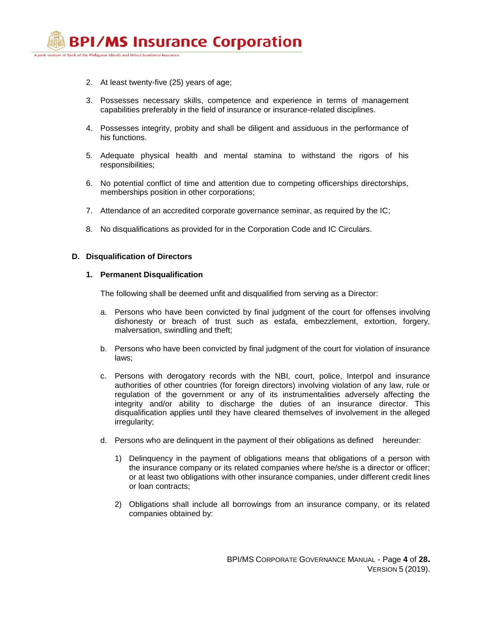

- 2. At least twenty-five (25) years of age;
- 3. Possesses necessary skills, competence and experience in terms of management capabilities preferably in the field of insurance or insurance-related disciplines.
- 4. Possesses integrity, probity and shall be diligent and assiduous in the performance of his functions.
- 5. Adequate physical health and mental stamina to withstand the rigors of his responsibilities;
- 6. No potential conflict of time and attention due to competing officerships directorships, memberships position in other corporations;
- 7. Attendance of an accredited corporate governance seminar, as required by the IC;
- 8. No disqualifications as provided for in the Corporation Code and IC Circulars.

## **D. Disqualification of Directors**

## **1. Permanent Disqualification**

The following shall be deemed unfit and disqualified from serving as a Director:

- a. Persons who have been convicted by final judgment of the court for offenses involving dishonesty or breach of trust such as estafa, embezzlement, extortion, forgery, malversation, swindling and theft;
- b. Persons who have been convicted by final judgment of the court for violation of insurance laws;
- c. Persons with derogatory records with the NBI, court, police, Interpol and insurance authorities of other countries (for foreign directors) involving violation of any law, rule or regulation of the government or any of its instrumentalities adversely affecting the integrity and/or ability to discharge the duties of an insurance director. This disqualification applies until they have cleared themselves of involvement in the alleged irregularity;
- d. Persons who are delinquent in the payment of their obligations as defined hereunder:
	- 1) Delinquency in the payment of obligations means that obligations of a person with the insurance company or its related companies where he/she is a director or officer; or at least two obligations with other insurance companies, under different credit lines or loan contracts;
	- 2) Obligations shall include all borrowings from an insurance company, or its related companies obtained by: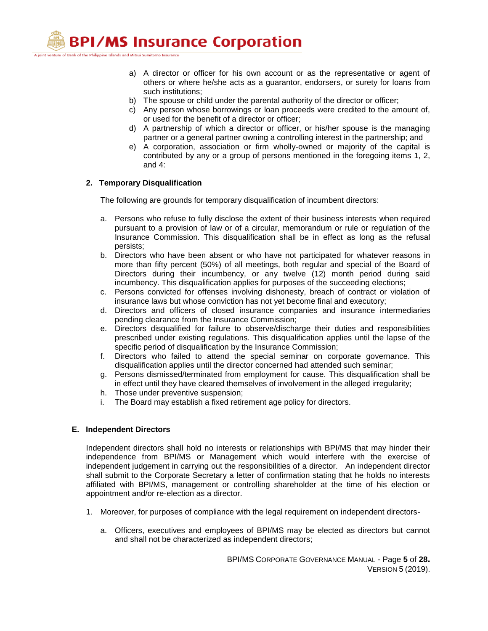A joint venture of Bank of the Philippine Islands and Mitsui Sumitomo Insurance

- a) A director or officer for his own account or as the representative or agent of others or where he/she acts as a guarantor, endorsers, or surety for loans from such institutions;
- b) The spouse or child under the parental authority of the director or officer;
- c) Any person whose borrowings or loan proceeds were credited to the amount of, or used for the benefit of a director or officer;
- d) A partnership of which a director or officer, or his/her spouse is the managing partner or a general partner owning a controlling interest in the partnership; and
- e) A corporation, association or firm wholly-owned or majority of the capital is contributed by any or a group of persons mentioned in the foregoing items 1, 2, and 4:

## **2. Temporary Disqualification**

The following are grounds for temporary disqualification of incumbent directors:

- a. Persons who refuse to fully disclose the extent of their business interests when required pursuant to a provision of law or of a circular, memorandum or rule or regulation of the Insurance Commission. This disqualification shall be in effect as long as the refusal persists;
- b. Directors who have been absent or who have not participated for whatever reasons in more than fifty percent (50%) of all meetings, both regular and special of the Board of Directors during their incumbency, or any twelve (12) month period during said incumbency. This disqualification applies for purposes of the succeeding elections;
- c. Persons convicted for offenses involving dishonesty, breach of contract or violation of insurance laws but whose conviction has not yet become final and executory;
- d. Directors and officers of closed insurance companies and insurance intermediaries pending clearance from the Insurance Commission;
- e. Directors disqualified for failure to observe/discharge their duties and responsibilities prescribed under existing regulations. This disqualification applies until the lapse of the specific period of disqualification by the Insurance Commission;
- f. Directors who failed to attend the special seminar on corporate governance. This disqualification applies until the director concerned had attended such seminar;
- g. Persons dismissed/terminated from employment for cause. This disqualification shall be in effect until they have cleared themselves of involvement in the alleged irregularity;
- h. Those under preventive suspension;
- i. The Board may establish a fixed retirement age policy for directors.

## **E. Independent Directors**

Independent directors shall hold no interests or relationships with BPI/MS that may hinder their independence from BPI/MS or Management which would interfere with the exercise of independent judgement in carrying out the responsibilities of a director. An independent director shall submit to the Corporate Secretary a letter of confirmation stating that he holds no interests affiliated with BPI/MS, management or controlling shareholder at the time of his election or appointment and/or re-election as a director.

- 1. Moreover, for purposes of compliance with the legal requirement on independent directors
	- a. Officers, executives and employees of BPI/MS may be elected as directors but cannot and shall not be characterized as independent directors;

BPI/MS CORPORATE GOVERNANCE MANUAL - Page **5** of **28.** VERSION 5 (2019).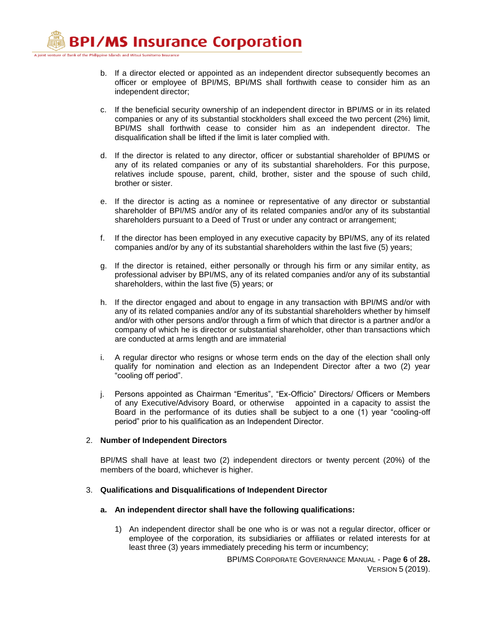- b. If a director elected or appointed as an independent director subsequently becomes an officer or employee of BPI/MS, BPI/MS shall forthwith cease to consider him as an independent director;
- c. If the beneficial security ownership of an independent director in BPI/MS or in its related companies or any of its substantial stockholders shall exceed the two percent (2%) limit, BPI/MS shall forthwith cease to consider him as an independent director. The disqualification shall be lifted if the limit is later complied with.
- d. If the director is related to any director, officer or substantial shareholder of BPI/MS or any of its related companies or any of its substantial shareholders. For this purpose, relatives include spouse, parent, child, brother, sister and the spouse of such child, brother or sister.
- e. If the director is acting as a nominee or representative of any director or substantial shareholder of BPI/MS and/or any of its related companies and/or any of its substantial shareholders pursuant to a Deed of Trust or under any contract or arrangement;
- f. If the director has been employed in any executive capacity by BPI/MS, any of its related companies and/or by any of its substantial shareholders within the last five (5) years;
- g. If the director is retained, either personally or through his firm or any similar entity, as professional adviser by BPI/MS, any of its related companies and/or any of its substantial shareholders, within the last five (5) years; or
- h. If the director engaged and about to engage in any transaction with BPI/MS and/or with any of its related companies and/or any of its substantial shareholders whether by himself and/or with other persons and/or through a firm of which that director is a partner and/or a company of which he is director or substantial shareholder, other than transactions which are conducted at arms length and are immaterial
- i. A regular director who resigns or whose term ends on the day of the election shall only qualify for nomination and election as an Independent Director after a two (2) year "cooling off period".
- j. Persons appointed as Chairman "Emeritus", "Ex-Officio" Directors/ Officers or Members of any Executive/Advisory Board, or otherwise appointed in a capacity to assist the Board in the performance of its duties shall be subject to a one (1) year "cooling-off period" prior to his qualification as an Independent Director.

## 2. **Number of Independent Directors**

BPI/MS shall have at least two (2) independent directors or twenty percent (20%) of the members of the board, whichever is higher.

## 3. **Qualifications and Disqualifications of Independent Director**

- **a. An independent director shall have the following qualifications:**
	- 1) An independent director shall be one who is or was not a regular director, officer or employee of the corporation, its subsidiaries or affiliates or related interests for at least three (3) years immediately preceding his term or incumbency;

BPI/MS CORPORATE GOVERNANCE MANUAL - Page **6** of **28.** VERSION 5 (2019).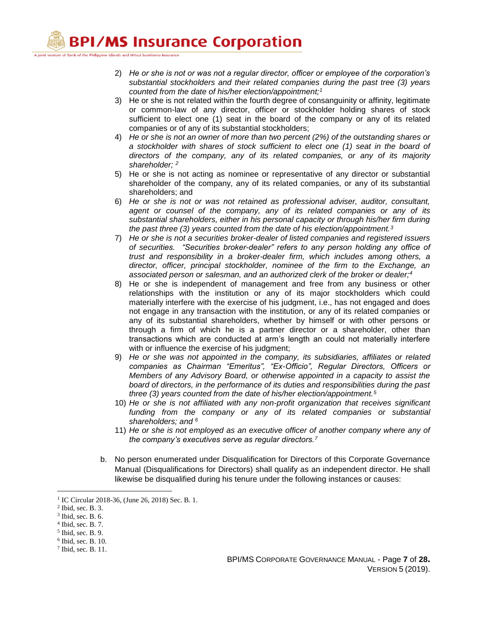A joint venture of Bank of the Philippine Islands and Mitsui Sumitomo Insurance

- 2) *He or she is not or was not a regular director, officer or employee of the corporation's substantial stockholders and their related companies during the past tree (3) years counted from the date of his/her election/appointment;<sup>1</sup>*
- 3) He or she is not related within the fourth degree of consanguinity or affinity, legitimate or common-law of any director, officer or stockholder holding shares of stock sufficient to elect one (1) seat in the board of the company or any of its related companies or of any of its substantial stockholders;
- 4) *He or she is not an owner of more than two percent (2%) of the outstanding shares or a stockholder with shares of stock sufficient to elect one (1) seat in the board of directors of the company, any of its related companies, or any of its majority shareholder; <sup>2</sup>*
- 5) He or she is not acting as nominee or representative of any director or substantial shareholder of the company, any of its related companies, or any of its substantial shareholders; and
- 6) *He or she is not or was not retained as professional adviser, auditor, consultant, agent or counsel of the company, any of its related companies or any of its substantial shareholders, either in his personal capacity or through his/her firm during the past three (3) years counted from the date of his election/appointment.<sup>3</sup>*
- 7) *He or she is not a securities broker-dealer of listed companies and registered issuers of securities. "Securities broker-dealer" refers to any person holding any office of trust and responsibility in a broker-dealer firm, which includes among others, a director, officer, principal stockholder, nominee of the firm to the Exchange, an associated person or salesman, and an authorized clerk of the broker or dealer;<sup>4</sup>*
- 8) He or she is independent of management and free from any business or other relationships with the institution or any of its major stockholders which could materially interfere with the exercise of his judgment, i.e., has not engaged and does not engage in any transaction with the institution, or any of its related companies or any of its substantial shareholders, whether by himself or with other persons or through a firm of which he is a partner director or a shareholder, other than transactions which are conducted at arm's length an could not materially interfere with or influence the exercise of his judgment;
- 9) *He or she was not appointed in the company, its subsidiaries, affiliates or related companies as Chairman "Emeritus", "Ex-Officio", Regular Directors, Officers or Members of any Advisory Board, or otherwise appointed in a capacity to assist the board of directors, in the performance of its duties and responsibilities during the past three (3) years counted from the date of his/her election/appointment.<sup>5</sup>*
- 10) *He or she is not affiliated with any non-profit organization that receives significant funding from the company or any of its related companies or substantial shareholders; and <sup>6</sup>*
- 11) *He or she is not employed as an executive officer of another company where any of the company's executives serve as regular directors.<sup>7</sup>*
- b. No person enumerated under Disqualification for Directors of this Corporate Governance Manual (Disqualifications for Directors) shall qualify as an independent director. He shall likewise be disqualified during his tenure under the following instances or causes:

 $\overline{a}$ 

<sup>1</sup> IC Circular 2018-36, (June 26, 2018) Sec. B. 1.

<sup>2</sup> Ibid, sec. B. 3.

<sup>3</sup> Ibid, sec. B. 6.

<sup>4</sup> Ibid, sec. B. 7.

<sup>5</sup> Ibid, sec. B. 9.

<sup>6</sup> Ibid, sec. B. 10.

<sup>7</sup> Ibid, sec. B. 11.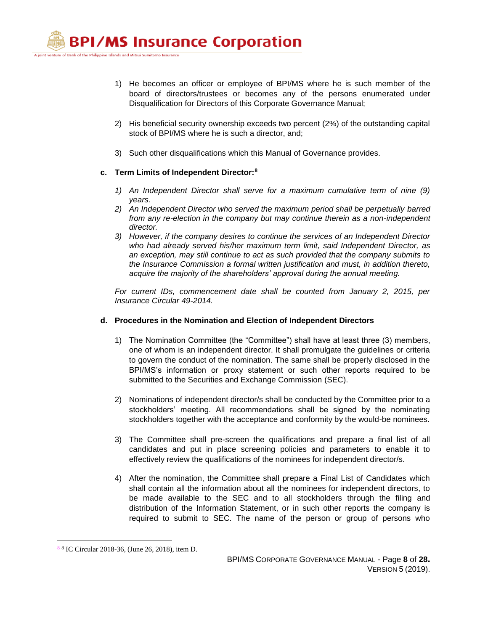A joint venture of Bank of the Philippine Islands and Mitsui Sumitomo Insurance

- 1) He becomes an officer or employee of BPI/MS where he is such member of the board of directors/trustees or becomes any of the persons enumerated under Disqualification for Directors of this Corporate Governance Manual;
- 2) His beneficial security ownership exceeds two percent (2%) of the outstanding capital stock of BPI/MS where he is such a director, and;
- 3) Such other disqualifications which this Manual of Governance provides.

## **c. Term Limits of Independent Director:<sup>8</sup>**

- *1) An Independent Director shall serve for a maximum cumulative term of nine (9) years.*
- *2) An Independent Director who served the maximum period shall be perpetually barred from any re-election in the company but may continue therein as a non-independent director.*
- *3) However, if the company desires to continue the services of an Independent Director who had already served his/her maximum term limit, said Independent Director, as an exception, may still continue to act as such provided that the company submits to the Insurance Commission a formal written justification and must, in addition thereto, acquire the majority of the shareholders' approval during the annual meeting.*

*For current IDs, commencement date shall be counted from January 2, 2015, per Insurance Circular 49-2014.*

## **d. Procedures in the Nomination and Election of Independent Directors**

- 1) The Nomination Committee (the "Committee") shall have at least three (3) members, one of whom is an independent director. It shall promulgate the guidelines or criteria to govern the conduct of the nomination. The same shall be properly disclosed in the BPI/MS's information or proxy statement or such other reports required to be submitted to the Securities and Exchange Commission (SEC).
- 2) Nominations of independent director/s shall be conducted by the Committee prior to a stockholders' meeting. All recommendations shall be signed by the nominating stockholders together with the acceptance and conformity by the would-be nominees.
- 3) The Committee shall pre-screen the qualifications and prepare a final list of all candidates and put in place screening policies and parameters to enable it to effectively review the qualifications of the nominees for independent director/s.
- 4) After the nomination, the Committee shall prepare a Final List of Candidates which shall contain all the information about all the nominees for independent directors, to be made available to the SEC and to all stockholders through the filing and distribution of the Information Statement, or in such other reports the company is required to submit to SEC. The name of the person or group of persons who

 $\overline{a}$ 

<sup>8</sup> 8 IC Circular 2018-36, (June 26, 2018), item D.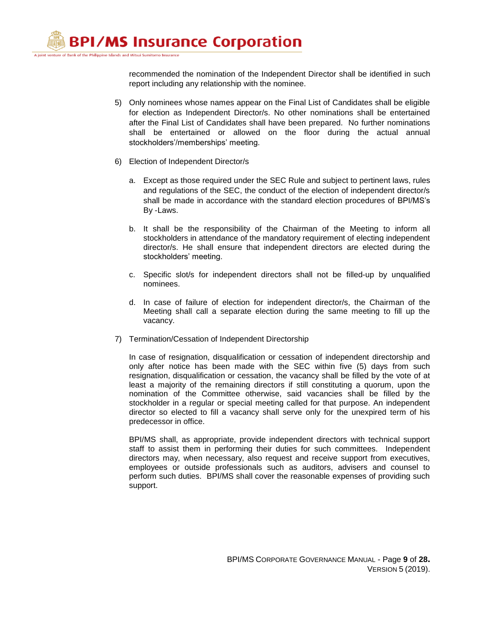> recommended the nomination of the Independent Director shall be identified in such report including any relationship with the nominee.

- 5) Only nominees whose names appear on the Final List of Candidates shall be eligible for election as Independent Director/s. No other nominations shall be entertained after the Final List of Candidates shall have been prepared. No further nominations shall be entertained or allowed on the floor during the actual annual stockholders'/memberships' meeting.
- 6) Election of Independent Director/s
	- a. Except as those required under the SEC Rule and subject to pertinent laws, rules and regulations of the SEC, the conduct of the election of independent director/s shall be made in accordance with the standard election procedures of BPI/MS's By -Laws.
	- b. It shall be the responsibility of the Chairman of the Meeting to inform all stockholders in attendance of the mandatory requirement of electing independent director/s. He shall ensure that independent directors are elected during the stockholders' meeting.
	- c. Specific slot/s for independent directors shall not be filled-up by unqualified nominees.
	- d. In case of failure of election for independent director/s, the Chairman of the Meeting shall call a separate election during the same meeting to fill up the vacancy.
- 7) Termination/Cessation of Independent Directorship

In case of resignation, disqualification or cessation of independent directorship and only after notice has been made with the SEC within five (5) days from such resignation, disqualification or cessation, the vacancy shall be filled by the vote of at least a majority of the remaining directors if still constituting a quorum, upon the nomination of the Committee otherwise, said vacancies shall be filled by the stockholder in a regular or special meeting called for that purpose. An independent director so elected to fill a vacancy shall serve only for the unexpired term of his predecessor in office.

BPI/MS shall, as appropriate, provide independent directors with technical support staff to assist them in performing their duties for such committees. Independent directors may, when necessary, also request and receive support from executives, employees or outside professionals such as auditors, advisers and counsel to perform such duties. BPI/MS shall cover the reasonable expenses of providing such support.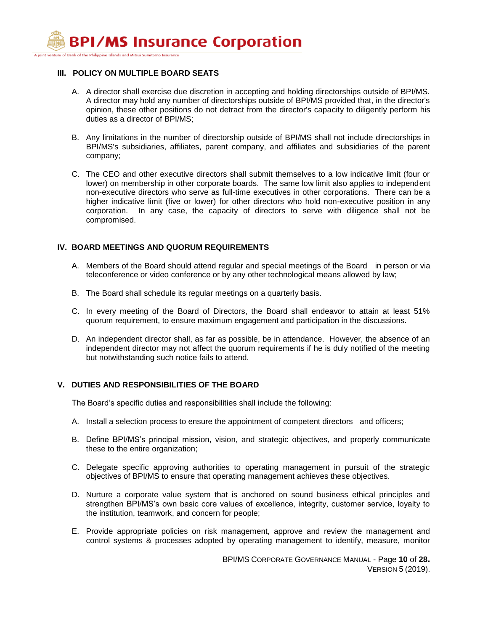A joint venture of Bank of the Philippine Islands and Mitsui Sumitomo Insurance

## **III.****POLICY ON MULTIPLE BOARD SEATS**

- A. A director shall exercise due discretion in accepting and holding directorships outside of BPI/MS. A director may hold any number of directorships outside of BPI/MS provided that, in the director's opinion, these other positions do not detract from the director's capacity to diligently perform his duties as a director of BPI/MS;
- B. Any limitations in the number of directorship outside of BPI/MS shall not include directorships in BPI/MS's subsidiaries, affiliates, parent company, and affiliates and subsidiaries of the parent company;
- C. The CEO and other executive directors shall submit themselves to a low indicative limit (four or lower) on membership in other corporate boards. The same low limit also applies to independent non-executive directors who serve as full-time executives in other corporations. There can be a higher indicative limit (five or lower) for other directors who hold non-executive position in any corporation. In any case, the capacity of directors to serve with diligence shall not be compromised.

## **IV. BOARD MEETINGS AND QUORUM REQUIREMENTS**

- A. Members of the Board should attend regular and special meetings of the Board in person or via teleconference or video conference or by any other technological means allowed by law;
- B. The Board shall schedule its regular meetings on a quarterly basis.
- C. In every meeting of the Board of Directors, the Board shall endeavor to attain at least 51% quorum requirement, to ensure maximum engagement and participation in the discussions.
- D. An independent director shall, as far as possible, be in attendance. However, the absence of an independent director may not affect the quorum requirements if he is duly notified of the meeting but notwithstanding such notice fails to attend.

## **V. DUTIES AND RESPONSIBILITIES OF THE BOARD**

The Board's specific duties and responsibilities shall include the following:

- A. Install a selection process to ensure the appointment of competent directors and officers;
- B. Define BPI/MS's principal mission, vision, and strategic objectives, and properly communicate these to the entire organization;
- C. Delegate specific approving authorities to operating management in pursuit of the strategic objectives of BPI/MS to ensure that operating management achieves these objectives.
- D. Nurture a corporate value system that is anchored on sound business ethical principles and strengthen BPI/MS's own basic core values of excellence, integrity, customer service, loyalty to the institution, teamwork, and concern for people;
- E. Provide appropriate policies on risk management, approve and review the management and control systems & processes adopted by operating management to identify, measure, monitor

BPI/MS CORPORATE GOVERNANCE MANUAL - Page **10** of **28.** VERSION 5 (2019).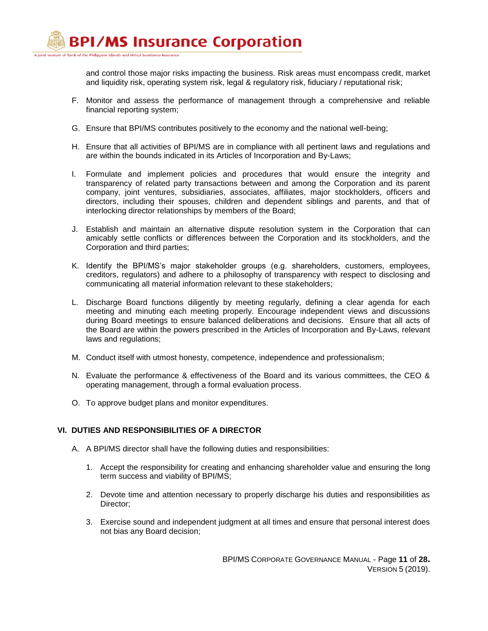> and control those major risks impacting the business. Risk areas must encompass credit, market and liquidity risk, operating system risk, legal & regulatory risk, fiduciary / reputational risk;

- F. Monitor and assess the performance of management through a comprehensive and reliable financial reporting system;
- G. Ensure that BPI/MS contributes positively to the economy and the national well-being;
- H. Ensure that all activities of BPI/MS are in compliance with all pertinent laws and regulations and are within the bounds indicated in its Articles of Incorporation and By-Laws;
- I. Formulate and implement policies and procedures that would ensure the integrity and transparency of related party transactions between and among the Corporation and its parent company, joint ventures, subsidiaries, associates, affiliates, major stockholders, officers and directors, including their spouses, children and dependent siblings and parents, and that of interlocking director relationships by members of the Board;
- J. Establish and maintain an alternative dispute resolution system in the Corporation that can amicably settle conflicts or differences between the Corporation and its stockholders, and the Corporation and third parties;
- K. Identify the BPI/MS's major stakeholder groups (e.g. shareholders, customers, employees, creditors, regulators) and adhere to a philosophy of transparency with respect to disclosing and communicating all material information relevant to these stakeholders;
- L. Discharge Board functions diligently by meeting regularly, defining a clear agenda for each meeting and minuting each meeting properly. Encourage independent views and discussions during Board meetings to ensure balanced deliberations and decisions. Ensure that all acts of the Board are within the powers prescribed in the Articles of Incorporation and By-Laws, relevant laws and regulations;
- M. Conduct itself with utmost honesty, competence, independence and professionalism;
- N. Evaluate the performance & effectiveness of the Board and its various committees, the CEO & operating management, through a formal evaluation process.
- O. To approve budget plans and monitor expenditures.

## **VI. DUTIES AND RESPONSIBILITIES OF A DIRECTOR**

- A. A BPI/MS director shall have the following duties and responsibilities:
	- 1. Accept the responsibility for creating and enhancing shareholder value and ensuring the long term success and viability of BPI/MS;
	- 2. Devote time and attention necessary to properly discharge his duties and responsibilities as Director;
	- 3. Exercise sound and independent judgment at all times and ensure that personal interest does not bias any Board decision;

BPI/MS CORPORATE GOVERNANCE MANUAL - Page **11** of **28.** VERSION 5 (2019).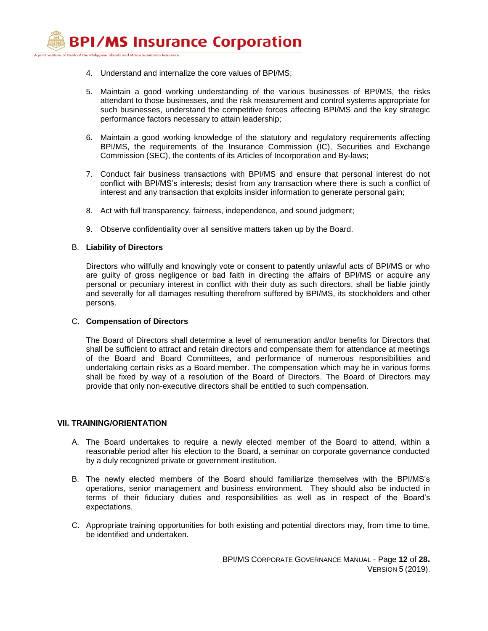A joint venture of Bank of the Philippine Islands and Mitsui Sumitomo Insurance

- 4. Understand and internalize the core values of BPI/MS;
- 5. Maintain a good working understanding of the various businesses of BPI/MS, the risks attendant to those businesses, and the risk measurement and control systems appropriate for such businesses, understand the competitive forces affecting BPI/MS and the key strategic performance factors necessary to attain leadership;
- 6. Maintain a good working knowledge of the statutory and regulatory requirements affecting BPI/MS, the requirements of the Insurance Commission (IC), Securities and Exchange Commission (SEC), the contents of its Articles of Incorporation and By-laws;
- 7. Conduct fair business transactions with BPI/MS and ensure that personal interest do not conflict with BPI/MS's interests; desist from any transaction where there is such a conflict of interest and any transaction that exploits insider information to generate personal gain;
- 8. Act with full transparency, fairness, independence, and sound judgment;
- 9. Observe confidentiality over all sensitive matters taken up by the Board.

## B. **Liability of Directors**

Directors who willfully and knowingly vote or consent to patently unlawful acts of BPI/MS or who are guilty of gross negligence or bad faith in directing the affairs of BPI/MS or acquire any personal or pecuniary interest in conflict with their duty as such directors, shall be liable jointly and severally for all damages resulting therefrom suffered by BPI/MS, its stockholders and other persons.

## C. **Compensation of Directors**

The Board of Directors shall determine a level of remuneration and/or benefits for Directors that shall be sufficient to attract and retain directors and compensate them for attendance at meetings of the Board and Board Committees, and performance of numerous responsibilities and undertaking certain risks as a Board member. The compensation which may be in various forms shall be fixed by way of a resolution of the Board of Directors. The Board of Directors may provide that only non-executive directors shall be entitled to such compensation.

## **VII. TRAINING/ORIENTATION**

- A. The Board undertakes to require a newly elected member of the Board to attend, within a reasonable period after his election to the Board, a seminar on corporate governance conducted by a duly recognized private or government institution.
- B. The newly elected members of the Board should familiarize themselves with the BPI/MS's operations, senior management and business environment. They should also be inducted in terms of their fiduciary duties and responsibilities as well as in respect of the Board's expectations.
- C. Appropriate training opportunities for both existing and potential directors may, from time to time, be identified and undertaken.

BPI/MS CORPORATE GOVERNANCE MANUAL - Page **12** of **28.** VERSION 5 (2019).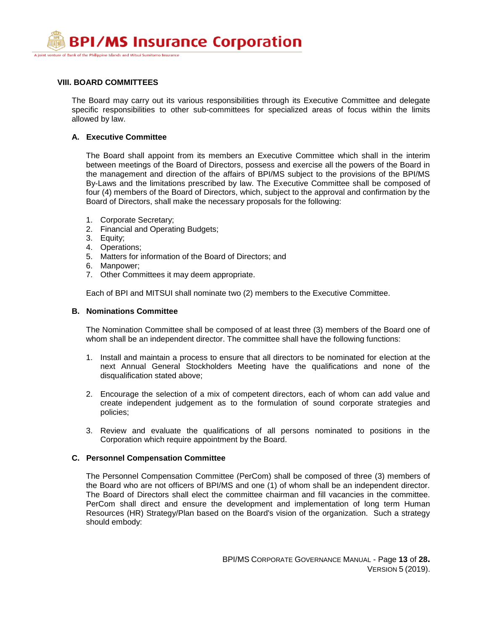

## **VIII. BOARD COMMITTEES**

The Board may carry out its various responsibilities through its Executive Committee and delegate specific responsibilities to other sub-committees for specialized areas of focus within the limits allowed by law.

## **A. Executive Committee**

The Board shall appoint from its members an Executive Committee which shall in the interim between meetings of the Board of Directors, possess and exercise all the powers of the Board in the management and direction of the affairs of BPI/MS subject to the provisions of the BPI/MS By-Laws and the limitations prescribed by law. The Executive Committee shall be composed of four (4) members of the Board of Directors, which, subject to the approval and confirmation by the Board of Directors, shall make the necessary proposals for the following:

- 1. Corporate Secretary;
- 2. Financial and Operating Budgets;
- 3. Equity;
- 4. Operations;
- 5. Matters for information of the Board of Directors; and
- 6. Manpower;
- 7. Other Committees it may deem appropriate.

Each of BPI and MITSUI shall nominate two (2) members to the Executive Committee.

#### **B. Nominations Committee**

The Nomination Committee shall be composed of at least three (3) members of the Board one of whom shall be an independent director. The committee shall have the following functions:

- 1. Install and maintain a process to ensure that all directors to be nominated for election at the next Annual General Stockholders Meeting have the qualifications and none of the disqualification stated above;
- 2. Encourage the selection of a mix of competent directors, each of whom can add value and create independent judgement as to the formulation of sound corporate strategies and policies;
- 3. Review and evaluate the qualifications of all persons nominated to positions in the Corporation which require appointment by the Board.

## **C. Personnel Compensation Committee**

The Personnel Compensation Committee (PerCom) shall be composed of three (3) members of the Board who are not officers of BPI/MS and one (1) of whom shall be an independent director. The Board of Directors shall elect the committee chairman and fill vacancies in the committee. PerCom shall direct and ensure the development and implementation of long term Human Resources (HR) Strategy/Plan based on the Board's vision of the organization. Such a strategy should embody: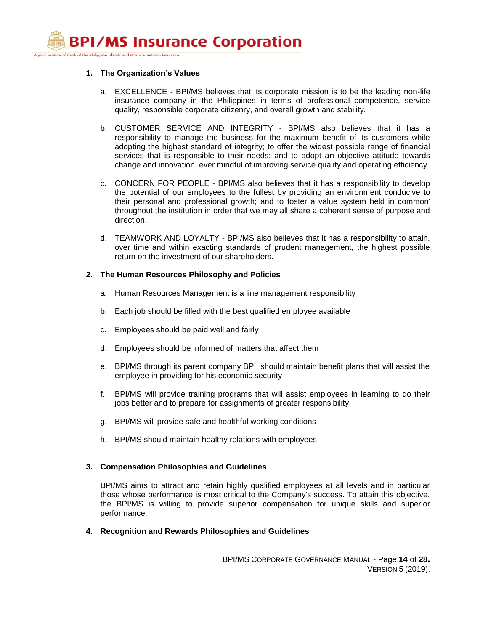#### A joint venture of Bank of the Philippine Islands and Mitsui Sumitomo Insurance

#### **1. The Organization's Values**

- a. EXCELLENCE BPI/MS believes that its corporate mission is to be the leading non-life insurance company in the Philippines in terms of professional competence, service quality, responsible corporate citizenry, and overall growth and stability.
- b. CUSTOMER SERVICE AND INTEGRITY BPI/MS also believes that it has a responsibility to manage the business for the maximum benefit of its customers while adopting the highest standard of integrity; to offer the widest possible range of financial services that is responsible to their needs; and to adopt an objective attitude towards change and innovation, ever mindful of improving service quality and operating efficiency.
- c. CONCERN FOR PEOPLE BPI/MS also believes that it has a responsibility to develop the potential of our employees to the fullest by providing an environment conducive to their personal and professional growth; and to foster a value system held in common' throughout the institution in order that we may all share a coherent sense of purpose and direction.
- d. TEAMWORK AND LOYALTY BPI/MS also believes that it has a responsibility to attain, over time and within exacting standards of prudent management, the highest possible return on the investment of our shareholders.

## **2. The Human Resources Philosophy and Policies**

- a. Human Resources Management is a line management responsibility
- b. Each job should be filled with the best qualified employee available
- c. Employees should be paid well and fairly
- d. Employees should be informed of matters that affect them
- e. BPI/MS through its parent company BPI, should maintain benefit plans that will assist the employee in providing for his economic security
- f. BPI/MS will provide training programs that will assist employees in learning to do their jobs better and to prepare for assignments of greater responsibility
- g. BPI/MS will provide safe and healthful working conditions
- h. BPI/MS should maintain healthy relations with employees

## **3. Compensation Philosophies and Guidelines**

BPI/MS aims to attract and retain highly qualified employees at all levels and in particular those whose performance is most critical to the Company's success. To attain this objective, the BPI/MS is willing to provide superior compensation for unique skills and superior performance.

**4. Recognition and Rewards Philosophies and Guidelines** 

BPI/MS CORPORATE GOVERNANCE MANUAL - Page **14** of **28.** VERSION 5 (2019).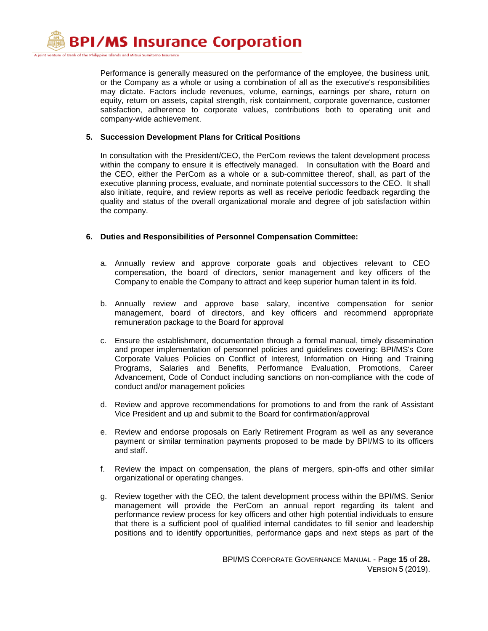> Performance is generally measured on the performance of the employee, the business unit, or the Company as a whole or using a combination of all as the executive's responsibilities may dictate. Factors include revenues, volume, earnings, earnings per share, return on equity, return on assets, capital strength, risk containment, corporate governance, customer satisfaction, adherence to corporate values, contributions both to operating unit and company-wide achievement.

## **5. Succession Development Plans for Critical Positions**

In consultation with the President/CEO, the PerCom reviews the talent development process within the company to ensure it is effectively managed. In consultation with the Board and the CEO, either the PerCom as a whole or a sub-committee thereof, shall, as part of the executive planning process, evaluate, and nominate potential successors to the CEO. It shall also initiate, require, and review reports as well as receive periodic feedback regarding the quality and status of the overall organizational morale and degree of job satisfaction within the company.

## **6. Duties and Responsibilities of Personnel Compensation Committee:**

- a. Annually review and approve corporate goals and objectives relevant to CEO compensation, the board of directors, senior management and key officers of the Company to enable the Company to attract and keep superior human talent in its fold.
- b. Annually review and approve base salary, incentive compensation for senior management, board of directors, and key officers and recommend appropriate remuneration package to the Board for approval
- c. Ensure the establishment, documentation through a formal manual, timely dissemination and proper implementation of personnel policies and guidelines covering: BPI/MS's Core Corporate Values Policies on Conflict of Interest, Information on Hiring and Training Programs, Salaries and Benefits, Performance Evaluation, Promotions, Career Advancement, Code of Conduct including sanctions on non-compliance with the code of conduct and/or management policies
- d. Review and approve recommendations for promotions to and from the rank of Assistant Vice President and up and submit to the Board for confirmation/approval
- e. Review and endorse proposals on Early Retirement Program as well as any severance payment or similar termination payments proposed to be made by BPI/MS to its officers and staff.
- f. Review the impact on compensation, the plans of mergers, spin-offs and other similar organizational or operating changes.
- g. Review together with the CEO, the talent development process within the BPI/MS. Senior management will provide the PerCom an annual report regarding its talent and performance review process for key officers and other high potential individuals to ensure that there is a sufficient pool of qualified internal candidates to fill senior and leadership positions and to identify opportunities, performance gaps and next steps as part of the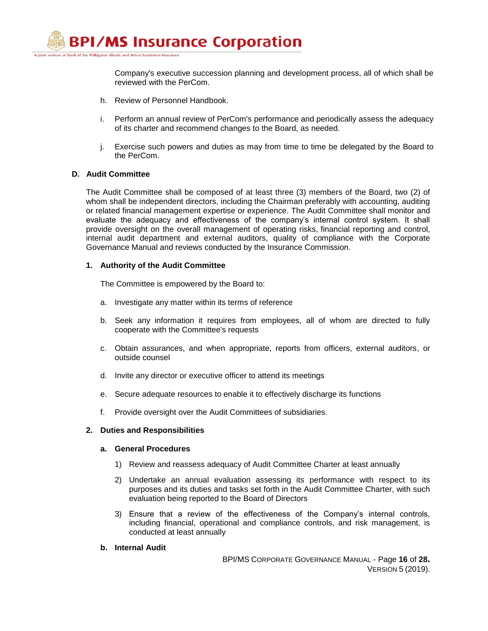

Company's executive succession planning and development process, all of which shall be reviewed with the PerCom.

- h. Review of Personnel Handbook.
- i. Perform an annual review of PerCom's performance and periodically assess the adequacy of its charter and recommend changes to the Board, as needed.
- j. Exercise such powers and duties as may from time to time be delegated by the Board to the PerCom.

#### **D. Audit Committee**

The Audit Committee shall be composed of at least three (3) members of the Board, two (2) of whom shall be independent directors, including the Chairman preferably with accounting, auditing or related financial management expertise or experience. The Audit Committee shall monitor and evaluate the adequacy and effectiveness of the company's internal control system. It shall provide oversight on the overall management of operating risks, financial reporting and control, internal audit department and external auditors, quality of compliance with the Corporate Governance Manual and reviews conducted by the Insurance Commission.

#### **1. Authority of the Audit Committee**

The Committee is empowered by the Board to:

- a. Investigate any matter within its terms of reference
- b. Seek any information it requires from employees, all of whom are directed to fully cooperate with the Committee's requests
- c. Obtain assurances, and when appropriate, reports from officers, external auditors, or outside counsel
- d. Invite any director or executive officer to attend its meetings
- e. Secure adequate resources to enable it to effectively discharge its functions
- f. Provide oversight over the Audit Committees of subsidiaries.

## **2. Duties and Responsibilities**

#### **a. General Procedures**

- 1) Review and reassess adequacy of Audit Committee Charter at least annually
- 2) Undertake an annual evaluation assessing its performance with respect to its purposes and its duties and tasks set forth in the Audit Committee Charter, with such evaluation being reported to the Board of Directors
- 3) Ensure that a review of the effectiveness of the Company's internal controls, including financial, operational and compliance controls, and risk management, is conducted at least annually
- **b. Internal Audit**

BPI/MS CORPORATE GOVERNANCE MANUAL - Page **16** of **28.** VERSION 5 (2019).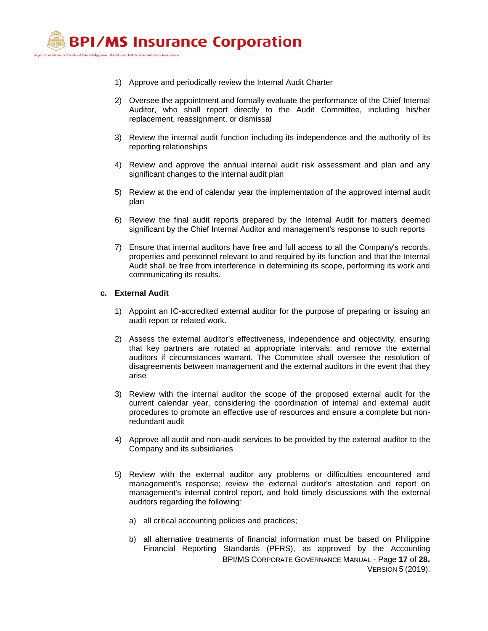

- 1) Approve and periodically review the Internal Audit Charter
- 2) Oversee the appointment and formally evaluate the performance of the Chief Internal Auditor, who shall report directly to the Audit Committee, including his/her replacement, reassignment, or dismissal
- 3) Review the internal audit function including its independence and the authority of its reporting relationships
- 4) Review and approve the annual internal audit risk assessment and plan and any significant changes to the internal audit plan
- 5) Review at the end of calendar year the implementation of the approved internal audit plan
- 6) Review the final audit reports prepared by the Internal Audit for matters deemed significant by the Chief Internal Auditor and management's response to such reports
- 7) Ensure that internal auditors have free and full access to all the Company's records, properties and personnel relevant to and required by its function and that the Internal Audit shall be free from interference in determining its scope, performing its work and communicating its results.

#### **c. External Audit**

- 1) Appoint an IC-accredited external auditor for the purpose of preparing or issuing an audit report or related work.
- 2) Assess the external auditor's effectiveness, independence and objectivity, ensuring that key partners are rotated at appropriate intervals; and remove the external auditors if circumstances warrant. The Committee shall oversee the resolution of disagreements between management and the external auditors in the event that they arise
- 3) Review with the internal auditor the scope of the proposed external audit for the current calendar year, considering the coordination of internal and external audit procedures to promote an effective use of resources and ensure a complete but nonredundant audit
- 4) Approve all audit and non-audit services to be provided by the external auditor to the Company and its subsidiaries
- 5) Review with the external auditor any problems or difficulties encountered and management's response; review the external auditor's attestation and report on management's internal control report, and hold timely discussions with the external auditors regarding the following:
	- a) all critical accounting policies and practices;
	- BPI/MS CORPORATE GOVERNANCE MANUAL Page **17** of **28.** VERSION 5 (2019). b) all alternative treatments of financial information must be based on Philippine Financial Reporting Standards (PFRS), as approved by the Accounting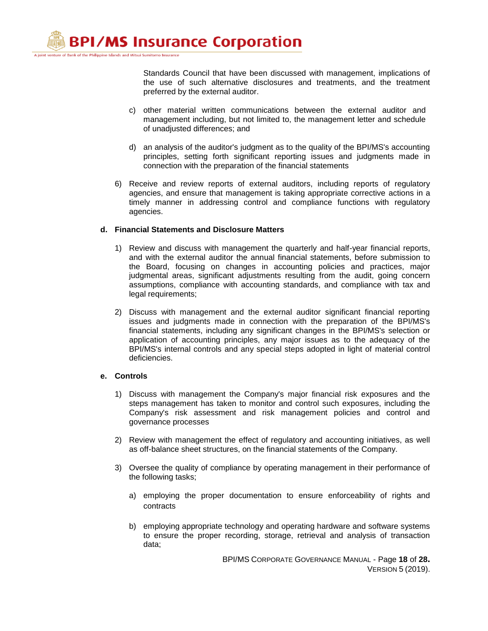> Standards Council that have been discussed with management, implications of the use of such alternative disclosures and treatments, and the treatment preferred by the external auditor.

- c) other material written communications between the external auditor and management including, but not limited to, the management letter and schedule of unadjusted differences; and
- d) an analysis of the auditor's judgment as to the quality of the BPI/MS's accounting principles, setting forth significant reporting issues and judgments made in connection with the preparation of the financial statements
- 6) Receive and review reports of external auditors, including reports of regulatory agencies, and ensure that management is taking appropriate corrective actions in a timely manner in addressing control and compliance functions with regulatory agencies.

## **d. Financial Statements and Disclosure Matters**

- 1) Review and discuss with management the quarterly and half-year financial reports, and with the external auditor the annual financial statements, before submission to the Board, focusing on changes in accounting policies and practices, major judgmental areas, significant adjustments resulting from the audit, going concern assumptions, compliance with accounting standards, and compliance with tax and legal requirements;
- 2) Discuss with management and the external auditor significant financial reporting issues and judgments made in connection with the preparation of the BPI/MS's financial statements, including any significant changes in the BPI/MS's selection or application of accounting principles, any major issues as to the adequacy of the BPI/MS's internal controls and any special steps adopted in light of material control deficiencies.

## **e. Controls**

- 1) Discuss with management the Company's major financial risk exposures and the steps management has taken to monitor and control such exposures, including the Company's risk assessment and risk management policies and control and governance processes
- 2) Review with management the effect of regulatory and accounting initiatives, as well as off-balance sheet structures, on the financial statements of the Company.
- 3) Oversee the quality of compliance by operating management in their performance of the following tasks;
	- a) employing the proper documentation to ensure enforceability of rights and contracts
	- b) employing appropriate technology and operating hardware and software systems to ensure the proper recording, storage, retrieval and analysis of transaction data;

BPI/MS CORPORATE GOVERNANCE MANUAL - Page **18** of **28.** VERSION 5 (2019).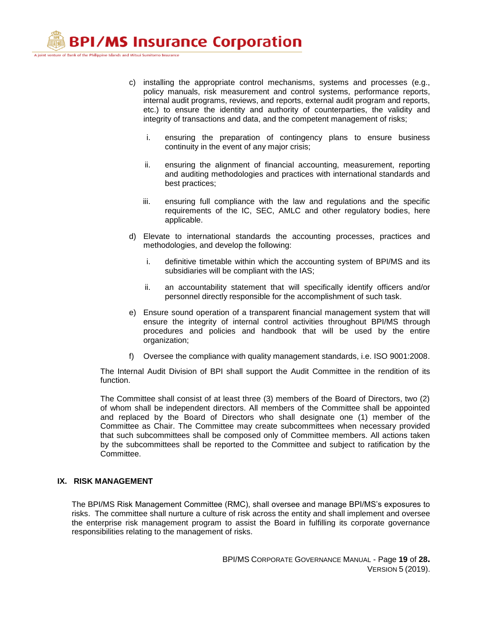A joint venture of Bank of the Philippine Islands and Mitsui Sumitomo Insurance

- c) installing the appropriate control mechanisms, systems and processes (e.g., policy manuals, risk measurement and control systems, performance reports, internal audit programs, reviews, and reports, external audit program and reports, etc.) to ensure the identity and authority of counterparties, the validity and integrity of transactions and data, and the competent management of risks;
	- i. ensuring the preparation of contingency plans to ensure business continuity in the event of any major crisis;
	- ii. ensuring the alignment of financial accounting, measurement, reporting and auditing methodologies and practices with international standards and best practices;
	- iii. ensuring full compliance with the law and regulations and the specific requirements of the IC, SEC, AMLC and other regulatory bodies, here applicable.
- d) Elevate to international standards the accounting processes, practices and methodologies, and develop the following:
	- i. definitive timetable within which the accounting system of BPI/MS and its subsidiaries will be compliant with the IAS;
	- ii. an accountability statement that will specifically identify officers and/or personnel directly responsible for the accomplishment of such task.
- e) Ensure sound operation of a transparent financial management system that will ensure the integrity of internal control activities throughout BPI/MS through procedures and policies and handbook that will be used by the entire organization;
- f) Oversee the compliance with quality management standards, i.e. ISO 9001:2008.

The Internal Audit Division of BPI shall support the Audit Committee in the rendition of its function.

The Committee shall consist of at least three (3) members of the Board of Directors, two (2) of whom shall be independent directors. All members of the Committee shall be appointed and replaced by the Board of Directors who shall designate one (1) member of the Committee as Chair. The Committee may create subcommittees when necessary provided that such subcommittees shall be composed only of Committee members. All actions taken by the subcommittees shall be reported to the Committee and subject to ratification by the Committee.

#### **IX. RISK MANAGEMENT**

The BPI/MS Risk Management Committee (RMC), shall oversee and manage BPI/MS's exposures to risks. The committee shall nurture a culture of risk across the entity and shall implement and oversee the enterprise risk management program to assist the Board in fulfilling its corporate governance responsibilities relating to the management of risks.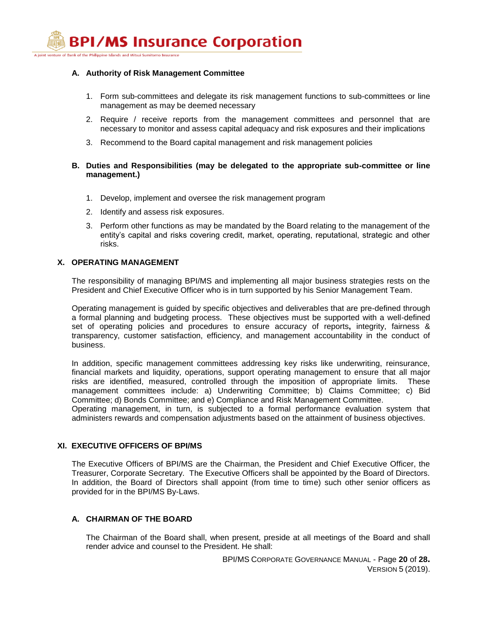A joint venture of Bank of the Philippine Islands and Mitsui Sumitomo Insurance

## **A. Authority of Risk Management Committee**

- 1. Form sub-committees and delegate its risk management functions to sub-committees or line management as may be deemed necessary
- 2. Require / receive reports from the management committees and personnel that are necessary to monitor and assess capital adequacy and risk exposures and their implications
- 3. Recommend to the Board capital management and risk management policies

## **B. Duties and Responsibilities (may be delegated to the appropriate sub-committee or line management.)**

- 1. Develop, implement and oversee the risk management program
- 2. Identify and assess risk exposures.
- 3. Perform other functions as may be mandated by the Board relating to the management of the entity's capital and risks covering credit, market, operating, reputational, strategic and other risks.

## **X. OPERATING MANAGEMENT**

The responsibility of managing BPI/MS and implementing all major business strategies rests on the President and Chief Executive Officer who is in turn supported by his Senior Management Team.

Operating management is guided by specific objectives and deliverables that are pre-defined through a formal planning and budgeting process. These objectives must be supported with a well-defined set of operating policies and procedures to ensure accuracy of reports**,** integrity, fairness & transparency, customer satisfaction, efficiency, and management accountability in the conduct of business.

In addition, specific management committees addressing key risks like underwriting, reinsurance, financial markets and liquidity, operations, support operating management to ensure that all major risks are identified, measured, controlled through the imposition of appropriate limits. These management committees include: a) Underwriting Committee; b) Claims Committee; c) Bid Committee; d) Bonds Committee; and e) Compliance and Risk Management Committee.

Operating management, in turn, is subjected to a formal performance evaluation system that administers rewards and compensation adjustments based on the attainment of business objectives.

## **XI. EXECUTIVE OFFICERS OF BPI/MS**

The Executive Officers of BPI/MS are the Chairman, the President and Chief Executive Officer, the Treasurer, Corporate Secretary. The Executive Officers shall be appointed by the Board of Directors. In addition, the Board of Directors shall appoint (from time to time) such other senior officers as provided for in the BPI/MS By-Laws.

## **A. CHAIRMAN OF THE BOARD**

The Chairman of the Board shall, when present, preside at all meetings of the Board and shall render advice and counsel to the President. He shall:

> BPI/MS CORPORATE GOVERNANCE MANUAL - Page **20** of **28.** VERSION 5 (2019).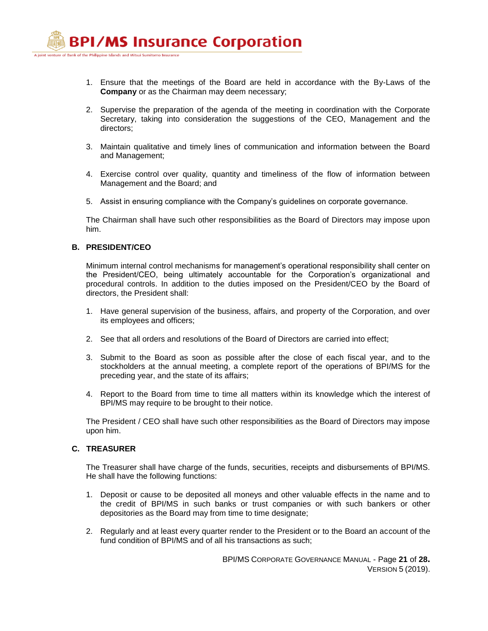- 1. Ensure that the meetings of the Board are held in accordance with the By-Laws of the **Company** or as the Chairman may deem necessary;
- 2. Supervise the preparation of the agenda of the meeting in coordination with the Corporate Secretary, taking into consideration the suggestions of the CEO, Management and the directors;
- 3. Maintain qualitative and timely lines of communication and information between the Board and Management;
- 4. Exercise control over quality, quantity and timeliness of the flow of information between Management and the Board; and
- 5. Assist in ensuring compliance with the Company's guidelines on corporate governance.

The Chairman shall have such other responsibilities as the Board of Directors may impose upon him.

## **B. PRESIDENT/CEO**

Minimum internal control mechanisms for management's operational responsibility shall center on the President/CEO, being ultimately accountable for the Corporation's organizational and procedural controls. In addition to the duties imposed on the President/CEO by the Board of directors, the President shall:

- 1. Have general supervision of the business, affairs, and property of the Corporation, and over its employees and officers;
- 2. See that all orders and resolutions of the Board of Directors are carried into effect;
- 3. Submit to the Board as soon as possible after the close of each fiscal year, and to the stockholders at the annual meeting, a complete report of the operations of BPI/MS for the preceding year, and the state of its affairs;
- 4. Report to the Board from time to time all matters within its knowledge which the interest of BPI/MS may require to be brought to their notice.

The President / CEO shall have such other responsibilities as the Board of Directors may impose upon him.

## **C. TREASURER**

The Treasurer shall have charge of the funds, securities, receipts and disbursements of BPI/MS. He shall have the following functions:

- 1. Deposit or cause to be deposited all moneys and other valuable effects in the name and to the credit of BPI/MS in such banks or trust companies or with such bankers or other depositories as the Board may from time to time designate;
- 2. Regularly and at least every quarter render to the President or to the Board an account of the fund condition of BPI/MS and of all his transactions as such;

BPI/MS CORPORATE GOVERNANCE MANUAL - Page **21** of **28.** VERSION 5 (2019).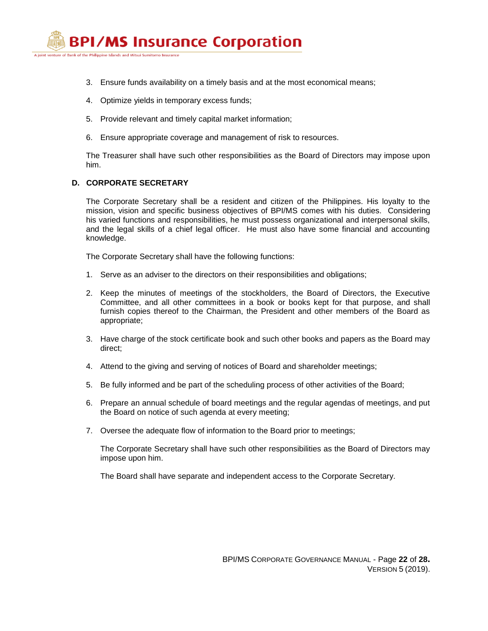

- 3. Ensure funds availability on a timely basis and at the most economical means;
- 4. Optimize yields in temporary excess funds;
- 5. Provide relevant and timely capital market information;
- 6. Ensure appropriate coverage and management of risk to resources.

The Treasurer shall have such other responsibilities as the Board of Directors may impose upon him.

#### **D. CORPORATE SECRETARY**

The Corporate Secretary shall be a resident and citizen of the Philippines. His loyalty to the mission, vision and specific business objectives of BPI/MS comes with his duties. Considering his varied functions and responsibilities, he must possess organizational and interpersonal skills, and the legal skills of a chief legal officer. He must also have some financial and accounting knowledge.

The Corporate Secretary shall have the following functions:

- 1. Serve as an adviser to the directors on their responsibilities and obligations;
- 2. Keep the minutes of meetings of the stockholders, the Board of Directors, the Executive Committee, and all other committees in a book or books kept for that purpose, and shall furnish copies thereof to the Chairman, the President and other members of the Board as appropriate;
- 3. Have charge of the stock certificate book and such other books and papers as the Board may direct;
- 4. Attend to the giving and serving of notices of Board and shareholder meetings;
- 5. Be fully informed and be part of the scheduling process of other activities of the Board;
- 6. Prepare an annual schedule of board meetings and the regular agendas of meetings, and put the Board on notice of such agenda at every meeting;
- 7. Oversee the adequate flow of information to the Board prior to meetings;

The Corporate Secretary shall have such other responsibilities as the Board of Directors may impose upon him.

The Board shall have separate and independent access to the Corporate Secretary.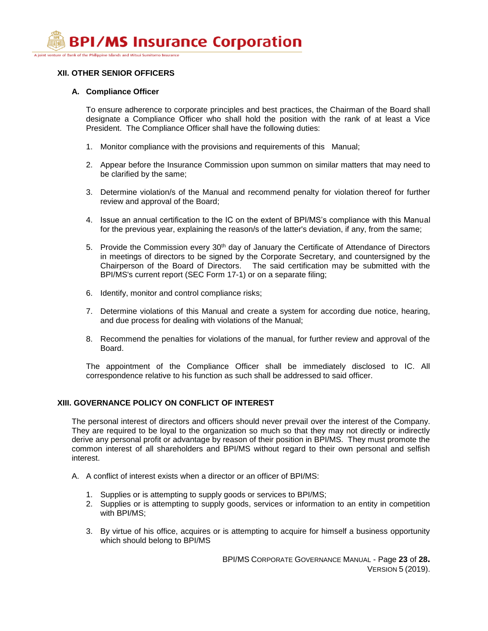## **XII. OTHER SENIOR OFFICERS**

## **A. Compliance Officer**

To ensure adherence to corporate principles and best practices, the Chairman of the Board shall designate a Compliance Officer who shall hold the position with the rank of at least a Vice President. The Compliance Officer shall have the following duties:

- 1. Monitor compliance with the provisions and requirements of this Manual;
- 2. Appear before the Insurance Commission upon summon on similar matters that may need to be clarified by the same;
- 3. Determine violation/s of the Manual and recommend penalty for violation thereof for further review and approval of the Board;
- 4. Issue an annual certification to the IC on the extent of BPI/MS's compliance with this Manual for the previous year, explaining the reason/s of the latter's deviation, if any, from the same;
- 5. Provide the Commission every 30<sup>th</sup> day of January the Certificate of Attendance of Directors in meetings of directors to be signed by the Corporate Secretary, and countersigned by the Chairperson of the Board of Directors. The said certification may be submitted with the BPI/MS's current report (SEC Form 17-1) or on a separate filing;
- 6. Identify, monitor and control compliance risks;
- 7. Determine violations of this Manual and create a system for according due notice, hearing, and due process for dealing with violations of the Manual;
- 8. Recommend the penalties for violations of the manual, for further review and approval of the Board.

The appointment of the Compliance Officer shall be immediately disclosed to IC. All correspondence relative to his function as such shall be addressed to said officer.

## **XIII. GOVERNANCE POLICY ON CONFLICT OF INTEREST**

The personal interest of directors and officers should never prevail over the interest of the Company. They are required to be loyal to the organization so much so that they may not directly or indirectly derive any personal profit or advantage by reason of their position in BPI/MS. They must promote the common interest of all shareholders and BPI/MS without regard to their own personal and selfish interest.

- A. A conflict of interest exists when a director or an officer of BPI/MS:
	- 1. Supplies or is attempting to supply goods or services to BPI/MS;
	- 2. Supplies or is attempting to supply goods, services or information to an entity in competition with BPI/MS;
	- 3. By virtue of his office, acquires or is attempting to acquire for himself a business opportunity which should belong to BPI/MS

BPI/MS CORPORATE GOVERNANCE MANUAL - Page **23** of **28.** VERSION 5 (2019).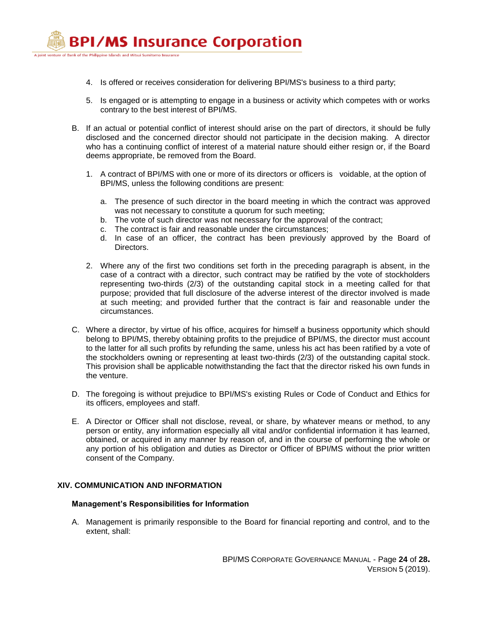

- 4. Is offered or receives consideration for delivering BPI/MS's business to a third party;
- 5. Is engaged or is attempting to engage in a business or activity which competes with or works contrary to the best interest of BPI/MS.
- B. If an actual or potential conflict of interest should arise on the part of directors, it should be fully disclosed and the concerned director should not participate in the decision making. A director who has a continuing conflict of interest of a material nature should either resign or, if the Board deems appropriate, be removed from the Board.
	- 1. A contract of BPI/MS with one or more of its directors or officers is voidable, at the option of BPI/MS, unless the following conditions are present:
		- a. The presence of such director in the board meeting in which the contract was approved was not necessary to constitute a quorum for such meeting;
		- b. The vote of such director was not necessary for the approval of the contract;
		- c. The contract is fair and reasonable under the circumstances;
		- d. In case of an officer, the contract has been previously approved by the Board of Directors.
	- 2. Where any of the first two conditions set forth in the preceding paragraph is absent, in the case of a contract with a director, such contract may be ratified by the vote of stockholders representing two-thirds (2/3) of the outstanding capital stock in a meeting called for that purpose; provided that full disclosure of the adverse interest of the director involved is made at such meeting; and provided further that the contract is fair and reasonable under the circumstances.
- C. Where a director, by virtue of his office, acquires for himself a business opportunity which should belong to BPI/MS, thereby obtaining profits to the prejudice of BPI/MS, the director must account to the latter for all such profits by refunding the same, unless his act has been ratified by a vote of the stockholders owning or representing at least two-thirds (2/3) of the outstanding capital stock. This provision shall be applicable notwithstanding the fact that the director risked his own funds in the venture.
- D. The foregoing is without prejudice to BPI/MS's existing Rules or Code of Conduct and Ethics for its officers, employees and staff.
- E. A Director or Officer shall not disclose, reveal, or share, by whatever means or method, to any person or entity, any information especially all vital and/or confidential information it has learned, obtained, or acquired in any manner by reason of, and in the course of performing the whole or any portion of his obligation and duties as Director or Officer of BPI/MS without the prior written consent of the Company.

## **XIV. COMMUNICATION AND INFORMATION**

#### **Management's Responsibilities for Information**

A. Management is primarily responsible to the Board for financial reporting and control, and to the extent, shall: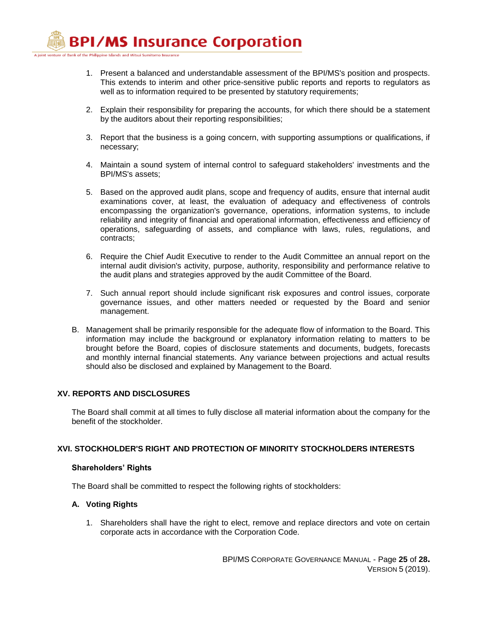A joint venture of Bank of the Philippine Islands and Mitsui Sumitomo Insurance

- 1. Present a balanced and understandable assessment of the BPI/MS's position and prospects. This extends to interim and other price-sensitive public reports and reports to regulators as well as to information required to be presented by statutory requirements;
- 2. Explain their responsibility for preparing the accounts, for which there should be a statement by the auditors about their reporting responsibilities;
- 3. Report that the business is a going concern, with supporting assumptions or qualifications, if necessary;
- 4. Maintain a sound system of internal control to safeguard stakeholders' investments and the BPI/MS's assets;
- 5. Based on the approved audit plans, scope and frequency of audits, ensure that internal audit examinations cover, at least, the evaluation of adequacy and effectiveness of controls encompassing the organization's governance, operations, information systems, to include reliability and integrity of financial and operational information, effectiveness and efficiency of operations, safeguarding of assets, and compliance with laws, rules, regulations, and contracts;
- 6. Require the Chief Audit Executive to render to the Audit Committee an annual report on the internal audit division's activity, purpose, authority, responsibility and performance relative to the audit plans and strategies approved by the audit Committee of the Board.
- 7. Such annual report should include significant risk exposures and control issues, corporate governance issues, and other matters needed or requested by the Board and senior management.
- B. Management shall be primarily responsible for the adequate flow of information to the Board. This information may include the background or explanatory information relating to matters to be brought before the Board, copies of disclosure statements and documents, budgets, forecasts and monthly internal financial statements. Any variance between projections and actual results should also be disclosed and explained by Management to the Board.

## **XV. REPORTS AND DISCLOSURES**

The Board shall commit at all times to fully disclose all material information about the company for the benefit of the stockholder.

## **XVI. STOCKHOLDER'S RIGHT AND PROTECTION OF MINORITY STOCKHOLDERS INTERESTS**

## **Shareholders' Rights**

The Board shall be committed to respect the following rights of stockholders:

## **A. Voting Rights**

1. Shareholders shall have the right to elect, remove and replace directors and vote on certain corporate acts in accordance with the Corporation Code.

> BPI/MS CORPORATE GOVERNANCE MANUAL - Page **25** of **28.** VERSION 5 (2019).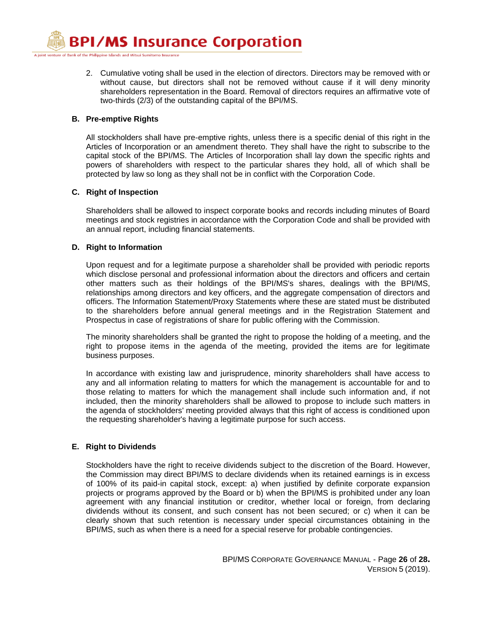A joint venture of Bank of the Philippine Islands and Mitsui Sumitomo Insurance

2. Cumulative voting shall be used in the election of directors. Directors may be removed with or without cause, but directors shall not be removed without cause if it will deny minority shareholders representation in the Board. Removal of directors requires an affirmative vote of two-thirds (2/3) of the outstanding capital of the BPI/MS.

## **B. Pre-emptive Rights**

All stockholders shall have pre-emptive rights, unless there is a specific denial of this right in the Articles of Incorporation or an amendment thereto. They shall have the right to subscribe to the capital stock of the BPI/MS. The Articles of Incorporation shall lay down the specific rights and powers of shareholders with respect to the particular shares they hold, all of which shall be protected by law so long as they shall not be in conflict with the Corporation Code.

## **C. Right of Inspection**

Shareholders shall be allowed to inspect corporate books and records including minutes of Board meetings and stock registries in accordance with the Corporation Code and shall be provided with an annual report, including financial statements.

## **D. Right to Information**

Upon request and for a legitimate purpose a shareholder shall be provided with periodic reports which disclose personal and professional information about the directors and officers and certain other matters such as their holdings of the BPI/MS's shares, dealings with the BPI/MS, relationships among directors and key officers, and the aggregate compensation of directors and officers. The Information Statement/Proxy Statements where these are stated must be distributed to the shareholders before annual general meetings and in the Registration Statement and Prospectus in case of registrations of share for public offering with the Commission.

The minority shareholders shall be granted the right to propose the holding of a meeting, and the right to propose items in the agenda of the meeting, provided the items are for legitimate business purposes.

In accordance with existing law and jurisprudence, minority shareholders shall have access to any and all information relating to matters for which the management is accountable for and to those relating to matters for which the management shall include such information and, if not included, then the minority shareholders shall be allowed to propose to include such matters in the agenda of stockholders' meeting provided always that this right of access is conditioned upon the requesting shareholder's having a legitimate purpose for such access.

## **E. Right to Dividends**

Stockholders have the right to receive dividends subject to the discretion of the Board. However, the Commission may direct BPI/MS to declare dividends when its retained earnings is in excess of 100% of its paid-in capital stock, except: a) when justified by definite corporate expansion projects or programs approved by the Board or b) when the BPI/MS is prohibited under any loan agreement with any financial institution or creditor, whether local or foreign, from declaring dividends without its consent, and such consent has not been secured; or c) when it can be clearly shown that such retention is necessary under special circumstances obtaining in the BPI/MS, such as when there is a need for a special reserve for probable contingencies.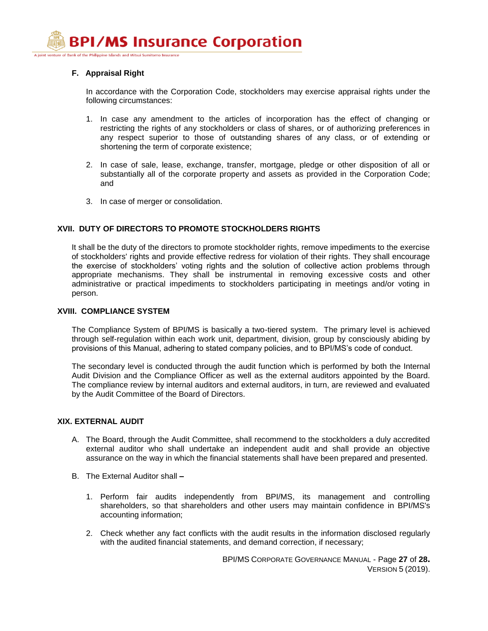A joint venture of Bank of the Philippine Islands and Mitsui Sumitomo Insurance

## **F. Appraisal Right**

In accordance with the Corporation Code, stockholders may exercise appraisal rights under the following circumstances:

- 1. In case any amendment to the articles of incorporation has the effect of changing or restricting the rights of any stockholders or class of shares, or of authorizing preferences in any respect superior to those of outstanding shares of any class, or of extending or shortening the term of corporate existence;
- 2. In case of sale, lease, exchange, transfer, mortgage, pledge or other disposition of all or substantially all of the corporate property and assets as provided in the Corporation Code; and
- 3. In case of merger or consolidation.

## **XVII. DUTY OF DIRECTORS TO PROMOTE STOCKHOLDERS RIGHTS**

It shall be the duty of the directors to promote stockholder rights, remove impediments to the exercise of stockholders' rights and provide effective redress for violation of their rights. They shall encourage the exercise of stockholders' voting rights and the solution of collective action problems through appropriate mechanisms. They shall be instrumental in removing excessive costs and other administrative or practical impediments to stockholders participating in meetings and/or voting in person.

#### **XVIII. COMPLIANCE SYSTEM**

The Compliance System of BPI/MS is basically a two-tiered system. The primary level is achieved through self-regulation within each work unit, department, division, group by consciously abiding by provisions of this Manual, adhering to stated company policies, and to BPI/MS's code of conduct.

The secondary level is conducted through the audit function which is performed by both the Internal Audit Division and the Compliance Officer as well as the external auditors appointed by the Board. The compliance review by internal auditors and external auditors, in turn, are reviewed and evaluated by the Audit Committee of the Board of Directors.

## **XIX. EXTERNAL AUDIT**

- A. The Board, through the Audit Committee, shall recommend to the stockholders a duly accredited external auditor who shall undertake an independent audit and shall provide an objective assurance on the way in which the financial statements shall have been prepared and presented.
- B. The External Auditor shall **–**
	- 1. Perform fair audits independently from BPI/MS, its management and controlling shareholders, so that shareholders and other users may maintain confidence in BPI/MS's accounting information;
	- 2. Check whether any fact conflicts with the audit results in the information disclosed regularly with the audited financial statements, and demand correction, if necessary;

BPI/MS CORPORATE GOVERNANCE MANUAL - Page **27** of **28.** VERSION 5 (2019).